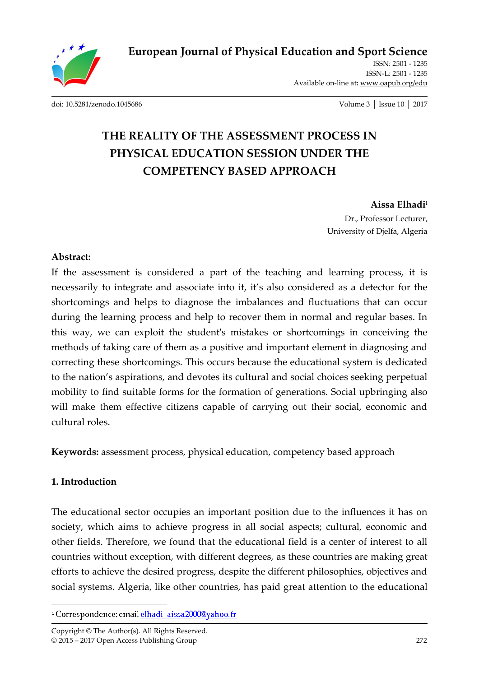

**European Journal of Physical Education and Sport Science**

ISSN: 2501 - 1235 ISSN-L: 2501 - 1235 Available on-line at**:** www.oapub.org/edu

[doi: 10.5281/zenodo.1045686](http://dx.doi.org/10.5281/zenodo.1045686) Volume 3 │ Issue 10 │ 2017

# **THE REALITY OF THE ASSESSMENT PROCESS IN PHYSICAL EDUCATION SESSION UNDER THE COMPETENCY BASED APPROACH**

**Aissa Elhadi<sup>i</sup>** Dr., Professor Lecturer, University of Djelfa, Algeria

#### **Abstract:**

If the assessment is considered a part of the teaching and learning process, it is necessarily to integrate and associate into it, it's also considered as a detector for the shortcomings and helps to diagnose the imbalances and fluctuations that can occur during the learning process and help to recover them in normal and regular bases. In this way, we can exploit the student's mistakes or shortcomings in conceiving the methods of taking care of them as a positive and important element in diagnosing and correcting these shortcomings. This occurs because the educational system is dedicated to the nation's aspirations, and devotes its cultural and social choices seeking perpetual mobility to find suitable forms for the formation of generations. Social upbringing also will make them effective citizens capable of carrying out their social, economic and cultural roles.

**Keywords:** assessment process, physical education, competency based approach

### **1. Introduction**

 $\overline{a}$ 

The educational sector occupies an important position due to the influences it has on society, which aims to achieve progress in all social aspects; cultural, economic and other fields. Therefore, we found that the educational field is a center of interest to all countries without exception, with different degrees, as these countries are making great efforts to achieve the desired progress, despite the different philosophies, objectives and social systems. Algeria, like other countries, has paid great attention to the educational

<sup>&</sup>lt;sup>i</sup> Correspondence: email *elhadi* aissa2000@yahoo.fr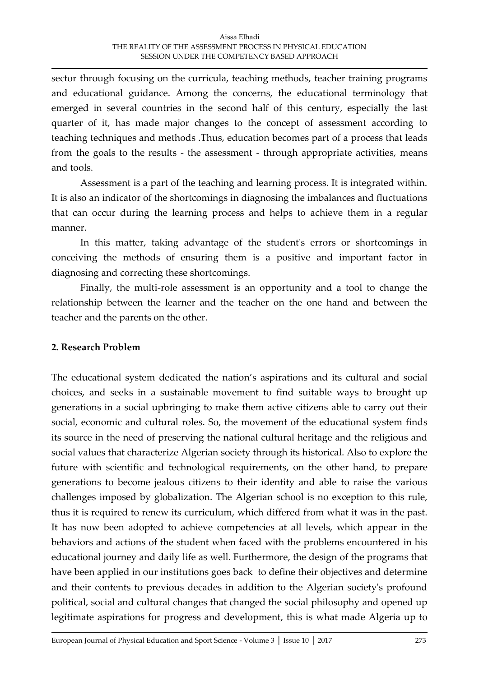sector through focusing on the curricula, teaching methods, teacher training programs and educational guidance. Among the concerns, the educational terminology that emerged in several countries in the second half of this century, especially the last quarter of it, has made major changes to the concept of assessment according to teaching techniques and methods .Thus, education becomes part of a process that leads from the goals to the results - the assessment - through appropriate activities, means and tools.

 Assessment is a part of the teaching and learning process. It is integrated within. It is also an indicator of the shortcomings in diagnosing the imbalances and fluctuations that can occur during the learning process and helps to achieve them in a regular manner.

 In this matter, taking advantage of the student's errors or shortcomings in conceiving the methods of ensuring them is a positive and important factor in diagnosing and correcting these shortcomings.

 Finally, the multi-role assessment is an opportunity and a tool to change the relationship between the learner and the teacher on the one hand and between the teacher and the parents on the other.

### **2. Research Problem**

The educational system dedicated the nation's aspirations and its cultural and social choices, and seeks in a sustainable movement to find suitable ways to brought up generations in a social upbringing to make them active citizens able to carry out their social, economic and cultural roles. So, the movement of the educational system finds its source in the need of preserving the national cultural heritage and the religious and social values that characterize Algerian society through its historical. Also to explore the future with scientific and technological requirements, on the other hand, to prepare generations to become jealous citizens to their identity and able to raise the various challenges imposed by globalization. The Algerian school is no exception to this rule, thus it is required to renew its curriculum, which differed from what it was in the past. It has now been adopted to achieve competencies at all levels, which appear in the behaviors and actions of the student when faced with the problems encountered in his educational journey and daily life as well. Furthermore, the design of the programs that have been applied in our institutions goes back to define their objectives and determine and their contents to previous decades in addition to the Algerian society's profound political, social and cultural changes that changed the social philosophy and opened up legitimate aspirations for progress and development, this is what made Algeria up to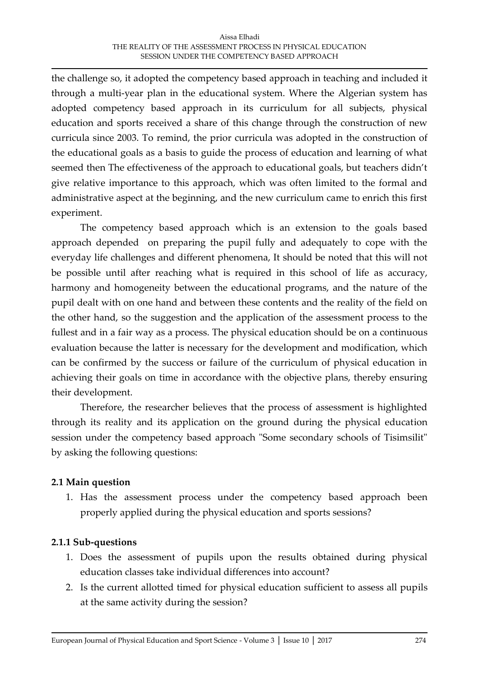#### Aissa Elhadi THE REALITY OF THE ASSESSMENT PROCESS IN PHYSICAL EDUCATION SESSION UNDER THE COMPETENCY BASED APPROACH

the challenge so, it adopted the competency based approach in teaching and included it through a multi-year plan in the educational system. Where the Algerian system has adopted competency based approach in its curriculum for all subjects, physical education and sports received a share of this change through the construction of new curricula since 2003. To remind, the prior curricula was adopted in the construction of the educational goals as a basis to guide the process of education and learning of what seemed then The effectiveness of the approach to educational goals, but teachers didn't give relative importance to this approach, which was often limited to the formal and administrative aspect at the beginning, and the new curriculum came to enrich this first experiment.

The competency based approach which is an extension to the goals based approach depended on preparing the pupil fully and adequately to cope with the everyday life challenges and different phenomena, It should be noted that this will not be possible until after reaching what is required in this school of life as accuracy, harmony and homogeneity between the educational programs, and the nature of the pupil dealt with on one hand and between these contents and the reality of the field on the other hand, so the suggestion and the application of the assessment process to the fullest and in a fair way as a process. The physical education should be on a continuous evaluation because the latter is necessary for the development and modification, which can be confirmed by the success or failure of the curriculum of physical education in achieving their goals on time in accordance with the objective plans, thereby ensuring their development.

Therefore, the researcher believes that the process of assessment is highlighted through its reality and its application on the ground during the physical education session under the competency based approach "Some secondary schools of Tisimsilit" by asking the following questions:

### **2.1 Main question**

1. Has the assessment process under the competency based approach been properly applied during the physical education and sports sessions?

### **2.1.1 Sub-questions**

- 1. Does the assessment of pupils upon the results obtained during physical education classes take individual differences into account?
- 2. Is the current allotted timed for physical education sufficient to assess all pupils at the same activity during the session?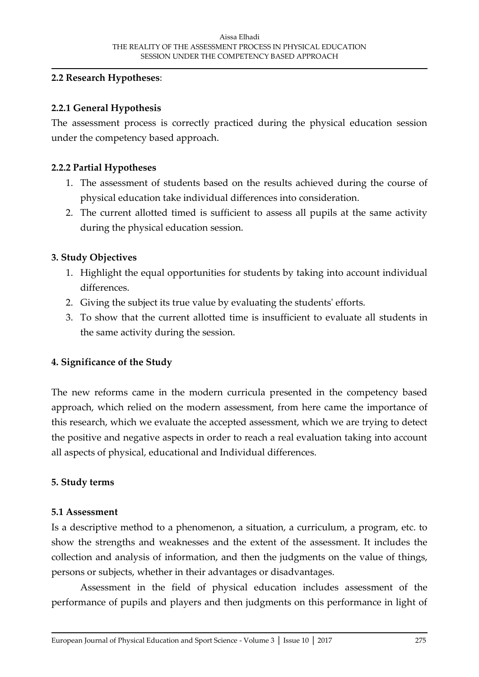#### **2.2 Research Hypotheses**:

#### **2.2.1 General Hypothesis**

The assessment process is correctly practiced during the physical education session under the competency based approach.

#### **2.2.2 Partial Hypotheses**

- 1. The assessment of students based on the results achieved during the course of physical education take individual differences into consideration.
- 2. The current allotted timed is sufficient to assess all pupils at the same activity during the physical education session.

#### **3. Study Objectives**

- 1. Highlight the equal opportunities for students by taking into account individual differences.
- 2. Giving the subject its true value by evaluating the students' efforts.
- 3. To show that the current allotted time is insufficient to evaluate all students in the same activity during the session.

### **4. Significance of the Study**

The new reforms came in the modern curricula presented in the competency based approach, which relied on the modern assessment, from here came the importance of this research, which we evaluate the accepted assessment, which we are trying to detect the positive and negative aspects in order to reach a real evaluation taking into account all aspects of physical, educational and Individual differences.

#### **5. Study terms**

#### **5.1 Assessment**

Is a descriptive method to a phenomenon, a situation, a curriculum, a program, etc. to show the strengths and weaknesses and the extent of the assessment. It includes the collection and analysis of information, and then the judgments on the value of things, persons or subjects, whether in their advantages or disadvantages.

Assessment in the field of physical education includes assessment of the performance of pupils and players and then judgments on this performance in light of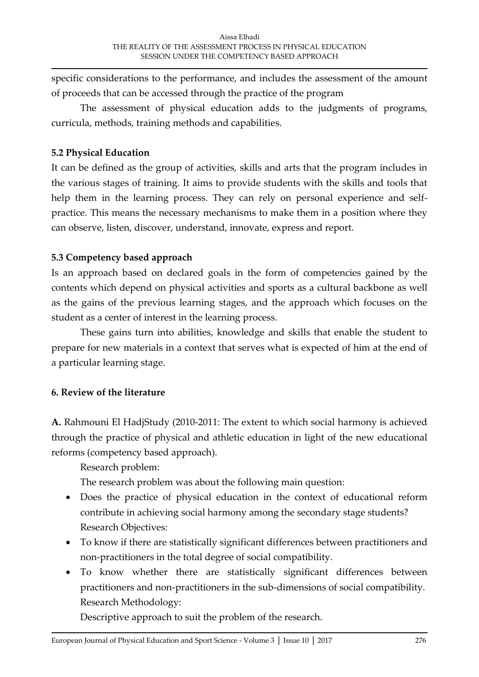specific considerations to the performance, and includes the assessment of the amount of proceeds that can be accessed through the practice of the program

The assessment of physical education adds to the judgments of programs, curricula, methods, training methods and capabilities.

### **5.2 Physical Education**

It can be defined as the group of activities, skills and arts that the program includes in the various stages of training. It aims to provide students with the skills and tools that help them in the learning process. They can rely on personal experience and selfpractice. This means the necessary mechanisms to make them in a position where they can observe, listen, discover, understand, innovate, express and report.

## **5.3 Competency based approach**

Is an approach based on declared goals in the form of competencies gained by the contents which depend on physical activities and sports as a cultural backbone as well as the gains of the previous learning stages, and the approach which focuses on the student as a center of interest in the learning process.

 These gains turn into abilities, knowledge and skills that enable the student to prepare for new materials in a context that serves what is expected of him at the end of a particular learning stage.

# **6. Review of the literature**

**A.** Rahmouni El HadjStudy (2010-2011: The extent to which social harmony is achieved through the practice of physical and athletic education in light of the new educational reforms (competency based approach).

Research problem:

The research problem was about the following main question:

- Does the practice of physical education in the context of educational reform contribute in achieving social harmony among the secondary stage students? Research Objectives:
- To know if there are statistically significant differences between practitioners and non-practitioners in the total degree of social compatibility.
- To know whether there are statistically significant differences between practitioners and non-practitioners in the sub-dimensions of social compatibility. Research Methodology:

Descriptive approach to suit the problem of the research.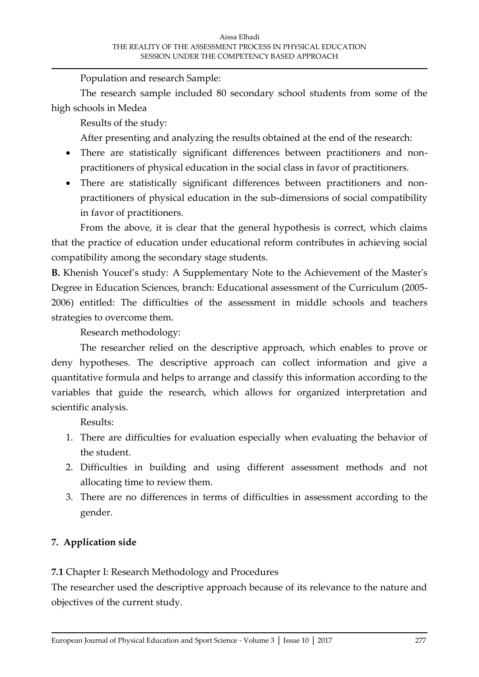Population and research Sample:

The research sample included 80 secondary school students from some of the high schools in Medea

Results of the study:

After presenting and analyzing the results obtained at the end of the research:

- There are statistically significant differences between practitioners and nonpractitioners of physical education in the social class in favor of practitioners.
- There are statistically significant differences between practitioners and nonpractitioners of physical education in the sub-dimensions of social compatibility in favor of practitioners.

From the above, it is clear that the general hypothesis is correct, which claims that the practice of education under educational reform contributes in achieving social compatibility among the secondary stage students.

**B.** Khenish Youcef's study: A Supplementary Note to the Achievement of the Master's Degree in Education Sciences, branch: Educational assessment of the Curriculum (2005- 2006) entitled: The difficulties of the assessment in middle schools and teachers strategies to overcome them.

Research methodology:

The researcher relied on the descriptive approach, which enables to prove or deny hypotheses. The descriptive approach can collect information and give a quantitative formula and helps to arrange and classify this information according to the variables that guide the research, which allows for organized interpretation and scientific analysis.

Results:

- 1. There are difficulties for evaluation especially when evaluating the behavior of the student.
- 2. Difficulties in building and using different assessment methods and not allocating time to review them.
- 3. There are no differences in terms of difficulties in assessment according to the gender.

### **7. Application side**

**7.1** Chapter I: Research Methodology and Procedures

The researcher used the descriptive approach because of its relevance to the nature and objectives of the current study.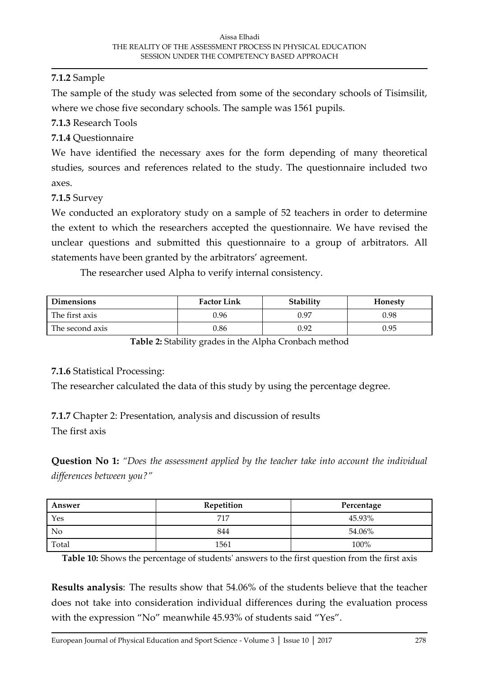### **7.1.2** Sample

The sample of the study was selected from some of the secondary schools of Tisimsilit, where we chose five secondary schools. The sample was 1561 pupils.

**7.1.3** Research Tools

### **7.1.4** Questionnaire

We have identified the necessary axes for the form depending of many theoretical studies, sources and references related to the study. The questionnaire included two axes.

**7.1.5** Survey

We conducted an exploratory study on a sample of 52 teachers in order to determine the extent to which the researchers accepted the questionnaire. We have revised the unclear questions and submitted this questionnaire to a group of arbitrators. All statements have been granted by the arbitrators' agreement.

The researcher used Alpha to verify internal consistency.

| <b>Dimensions</b> | <b>Factor Link</b> | Stability | <b>Honesty</b> |
|-------------------|--------------------|-----------|----------------|
| The first axis    | 0.96               | 0.97      | 0.98           |
| The second axis   | 0.86               | 0.92      | 0.95           |

**Table 2:** Stability grades in the Alpha Cronbach method

#### **7.1.6** Statistical Processing:

The researcher calculated the data of this study by using the percentage degree.

**7.1.7** Chapter 2: Presentation, analysis and discussion of results

The first axis

**Question No 1:** *"Does the assessment applied by the teacher take into account the individual differences between you?"*

| Answer | Repetition | Percentage |
|--------|------------|------------|
| Yes    | 717        | 45.93%     |
| No     | 844        | 54.06%     |
| Total  | 1561       | 100%       |

**Table 10:** Shows the percentage of students' answers to the first question from the first axis

**Results analysis**: The results show that 54.06% of the students believe that the teacher does not take into consideration individual differences during the evaluation process with the expression "No" meanwhile 45.93% of students said "Yes".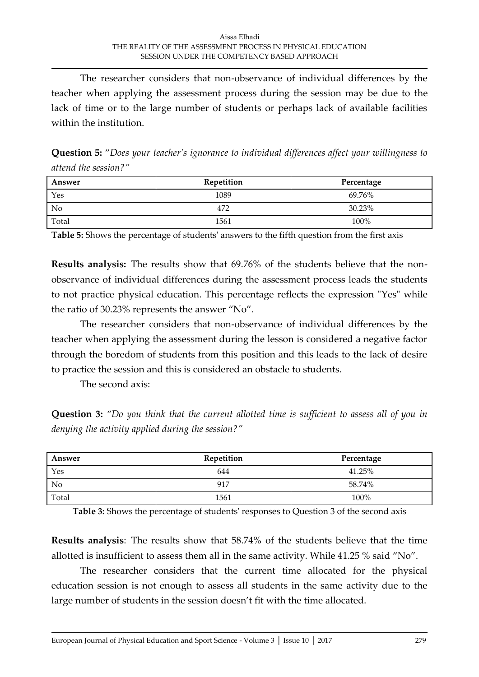The researcher considers that non-observance of individual differences by the teacher when applying the assessment process during the session may be due to the lack of time or to the large number of students or perhaps lack of available facilities within the institution.

**Question 5:** "*Does your teacher's ignorance to individual differences affect your willingness to attend the session?"*

| Answer | Repetition | Percentage |
|--------|------------|------------|
| Yes    | 1089       | 69.76%     |
| No     | 472        | 30.23%     |
| Total  | 1561       | 100%       |

**Table 5:** Shows the percentage of students' answers to the fifth question from the first axis

**Results analysis:** The results show that 69.76% of the students believe that the nonobservance of individual differences during the assessment process leads the students to not practice physical education. This percentage reflects the expression "Yes" while the ratio of 30.23% represents the answer "No".

The researcher considers that non-observance of individual differences by the teacher when applying the assessment during the lesson is considered a negative factor through the boredom of students from this position and this leads to the lack of desire to practice the session and this is considered an obstacle to students.

The second axis:

**Question 3:** *"Do you think that the current allotted time is sufficient to assess all of you in denying the activity applied during the session?"*

| Answer | Repetition | Percentage |
|--------|------------|------------|
| Yes    | 644        | 41.25%     |
| No     | 917        | 58.74%     |
| Total  | 1561       | 100%       |

**Table 3:** Shows the percentage of students' responses to Question 3 of the second axis

**Results analysis**: The results show that 58.74% of the students believe that the time allotted is insufficient to assess them all in the same activity. While 41.25 % said "No".

The researcher considers that the current time allocated for the physical education session is not enough to assess all students in the same activity due to the large number of students in the session doesn't fit with the time allocated.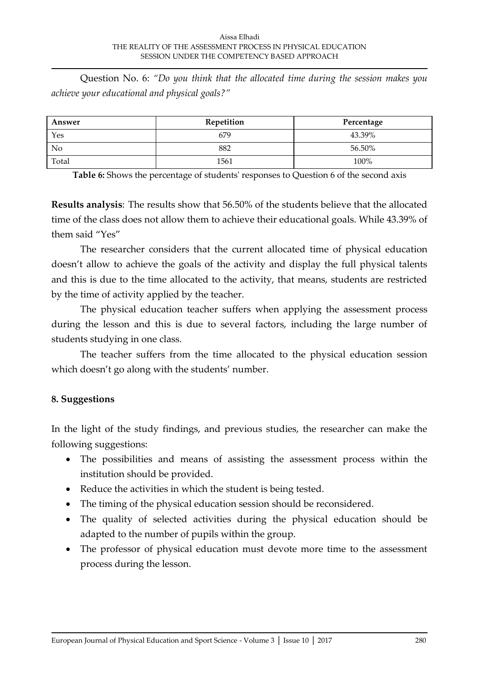Question No. 6: *"Do you think that the allocated time during the session makes you achieve your educational and physical goals?"*

| Answer | Repetition | Percentage |
|--------|------------|------------|
| Yes    | 679        | 43.39%     |
| No     | 882        | 56.50%     |
| Total  | 1561       | 100%       |

**Table 6:** Shows the percentage of students' responses to Question 6 of the second axis

**Results analysis**: The results show that 56.50% of the students believe that the allocated time of the class does not allow them to achieve their educational goals. While 43.39% of them said "Yes"

The researcher considers that the current allocated time of physical education doesn't allow to achieve the goals of the activity and display the full physical talents and this is due to the time allocated to the activity, that means, students are restricted by the time of activity applied by the teacher.

 The physical education teacher suffers when applying the assessment process during the lesson and this is due to several factors, including the large number of students studying in one class.

 The teacher suffers from the time allocated to the physical education session which doesn't go along with the students' number.

### **8. Suggestions**

In the light of the study findings, and previous studies, the researcher can make the following suggestions:

- The possibilities and means of assisting the assessment process within the institution should be provided.
- Reduce the activities in which the student is being tested.
- The timing of the physical education session should be reconsidered.
- The quality of selected activities during the physical education should be adapted to the number of pupils within the group.
- The professor of physical education must devote more time to the assessment process during the lesson.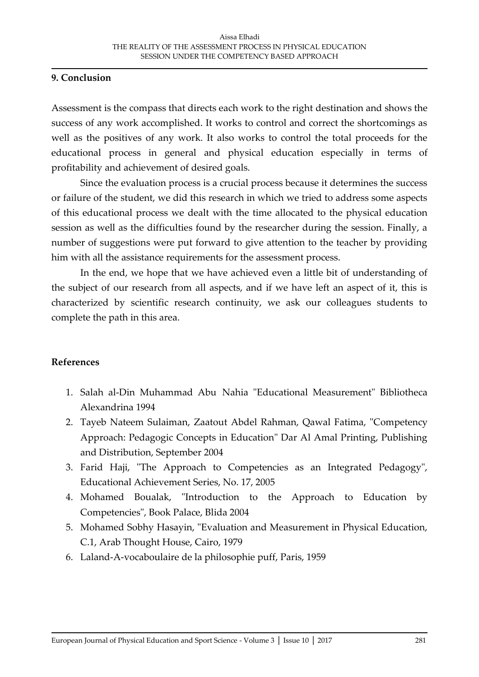#### **9. Conclusion**

Assessment is the compass that directs each work to the right destination and shows the success of any work accomplished. It works to control and correct the shortcomings as well as the positives of any work. It also works to control the total proceeds for the educational process in general and physical education especially in terms of profitability and achievement of desired goals.

Since the evaluation process is a crucial process because it determines the success or failure of the student, we did this research in which we tried to address some aspects of this educational process we dealt with the time allocated to the physical education session as well as the difficulties found by the researcher during the session. Finally, a number of suggestions were put forward to give attention to the teacher by providing him with all the assistance requirements for the assessment process.

In the end, we hope that we have achieved even a little bit of understanding of the subject of our research from all aspects, and if we have left an aspect of it, this is characterized by scientific research continuity, we ask our colleagues students to complete the path in this area.

#### **References**

- 1. Salah al-Din Muhammad Abu Nahia "Educational Measurement" Bibliotheca Alexandrina 1994
- 2. Tayeb Nateem Sulaiman, Zaatout Abdel Rahman, Qawal Fatima, "Competency Approach: Pedagogic Concepts in Education" Dar Al Amal Printing, Publishing and Distribution, September 2004
- 3. Farid Haji, "The Approach to Competencies as an Integrated Pedagogy", Educational Achievement Series, No. 17, 2005
- 4. Mohamed Boualak, "Introduction to the Approach to Education by Competencies", Book Palace, Blida 2004
- 5. Mohamed Sobhy Hasayin, "Evaluation and Measurement in Physical Education, C.1, Arab Thought House, Cairo, 1979
- 6. Laland-A-vocaboulaire de la philosophie puff, Paris, 1959